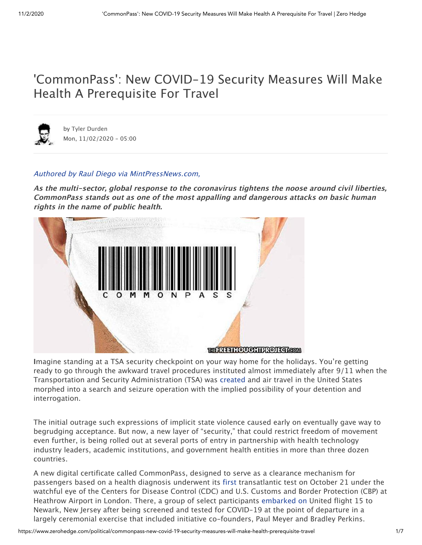## 'CommonPass': New COVID-19 Security Measures Will Make Health A Prerequisite For Travel



by Tyler [Durden](https://www.zerohedge.com/users/tyler-durden) Mon, 11/02/2020 - 05:00

#### Authored by Raul Diego via [MintPressNews.com,](https://www.mintpressnews.com/commonpass-new-covid-security-measures-will-make-health-a-prerequisite-for-travel/272298/)

**As the multi-sector, global response to the coronavirus tightens the noose around civil liberties, CommonPass stands out as one of the most appalling and dangerous attacks on basic human rights in the name of public health.**



**I**magine standing at a TSA security checkpoint on your way home for the holidays. You're getting ready to go through the awkward travel procedures instituted almost immediately after 9/11 when the Transportation and Security Administration (TSA) was [created](https://www.tsa.gov/sites/default/files/aviation_and_transportation_security_act_atsa_public_law_107_1771.pdf) and air travel in the United States morphed into a search and seizure operation with the implied possibility of your detention and interrogation.

The initial outrage such expressions of implicit state violence caused early on eventually gave way to begrudging acceptance. But now, a new layer of "security," that could restrict freedom of movement even further, is being rolled out at several ports of entry in partnership with health technology industry leaders, academic institutions, and government health entities in more than three dozen countries.

A new digital certificate called CommonPass, designed to serve as a clearance mechanism for passengers based on a health diagnosis underwent its [first](https://www.fiercehealthcare.com/tech/united-airlines-tests-covid-19-health-pass-app-to-bring-back-global-travel) transatlantic test on October 21 under the watchful eye of the Centers for Disease Control (CDC) and U.S. Customs and Border Protection (CBP) at Heathrow Airport in London. There, a group of select participants [embarked](https://www.luxurytraveladvisor.com/transportation/travel-execs-support-new-digital-health-pass-after-trials) on United flight 15 to Newark, New Jersey after being screened and tested for COVID-19 at the point of departure in a largely ceremonial exercise that included initiative co-founders, Paul Meyer and Bradley Perkins.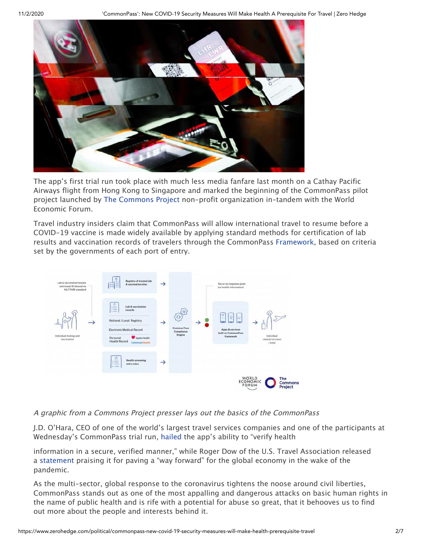

The app's first trial run took place with much less media fanfare last month on a Cathay Pacific Airways flight from Hong Kong to Singapore and marked the beginning of the CommonPass pilot project launched by The [Commons](https://thecommonsproject.org/) Project non-profit organization in-tandem with the World Economic Forum.

Travel industry insiders claim that CommonPass will allow international travel to resume before a COVID-19 vaccine is made widely available by applying standard methods for certification of lab results and vaccination records of travelers through the CommonPass [Framework](https://asianaviation.com/cathay-pacific-testing-digital-health-pass/), based on criteria set by the governments of each port of entry.



#### A graphic from <sup>a</sup> Commons Project presser lays out the basics of the CommonPass

J.D. O'Hara, CEO of one of the world's largest travel services companies and one of the participants at Wednesday's CommonPass trial run, [hailed](https://www.luxurytraveladvisor.com/transportation/travel-execs-support-new-digital-health-pass-after-trials) the app's ability to "verify health

information in a secure, verified manner," while Roger Dow of the U.S. Travel Association released [a](https://www.aviationpros.com/aircraft/business-general-aviation/press-release/21159546/us-travel-association-us-travel-applauds-technology-used-for-international-travel-pilot-program) [statement](https://www.aviationpros.com/aircraft/business-general-aviation/press-release/21159546/us-travel-association-us-travel-applauds-technology-used-for-international-travel-pilot-program) praising it for paving a "way forward" for the global economy in the wake of the pandemic.

As the multi-sector, global response to the coronavirus tightens the noose around civil liberties, CommonPass stands out as one of the most appalling and dangerous attacks on basic human rights in the name of public health and is rife with a potential for abuse so great, that it behooves us to find out more about the people and interests behind it.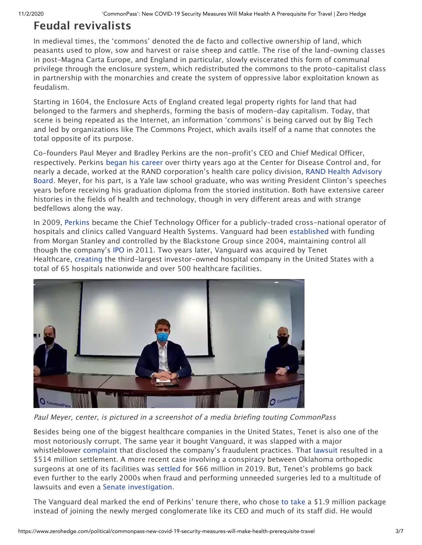#### **Feudal revivalists**

In medieval times, the 'commons' denoted the de facto and collective ownership of land, which peasants used to plow, sow and harvest or raise sheep and cattle. The rise of the land-owning classes in post-Magna Carta Europe, and England in particular, slowly eviscerated this form of communal privilege through the enclosure system, which redistributed the commons to the proto-capitalist class in partnership with the monarchies and create the system of oppressive labor exploitation known as feudalism.

Starting in 1604, the Enclosure Acts of England created legal property rights for land that had belonged to the farmers and shepherds, forming the basis of modern-day capitalism. Today, that scene is being repeated as the Internet, an information 'commons' is being carved out by Big Tech and led by organizations like The Commons Project, which avails itself of a name that connotes the total opposite of its purpose.

Co-founders Paul Meyer and Bradley Perkins are the non-profit's CEO and Chief Medical Officer, respectively. Perkins began his [career](https://health2con.com/member/brad-perkins/) over thirty years ago at the Center for Disease Control and, for nearly a decade, worked at the RAND corporation's health care [policy division,](https://www.rand.org/health-care/about.html) RAND Health Advisory Board. Meyer, for his part, is a Yale law school graduate, who was writing President Clinton's speeches years before receiving his graduation diploma from the storied institution. Both have extensive career histories in the fields of health and technology, though in very different areas and with strange bedfellows along the way.

In 2009[,](https://www.linkedin.com/in/bradleyaperkins/) [Perkins](https://www.linkedin.com/in/bradleyaperkins/) became the Chief Technology Officer for a publicly-traded cross-national operator of hospitals and clinics called Vanguard Health Systems. Vanguard had been [established](https://en.wikipedia.org/wiki/Vanguard_Health_Systems) with funding from Morgan Stanley and controlled by the Blackstone Group since 2004, maintaining control all though the company's [IPO](https://www.bloomberg.com/news/articles/2011-06-21/vanguard-health-raises-450-million-in-ipo-22-less-than-sought) in 2011. Two years later, Vanguard was acquired by Tenet Healthcare, [creating](https://en.wikipedia.org/wiki/Tenet_Healthcare) the third-largest investor-owned hospital company in the United States with a total of 65 hospitals nationwide and over 500 healthcare facilities.



Paul Meyer, center, is pictured in <sup>a</sup> screenshot of <sup>a</sup> media briefing touting CommonPass

Besides being one of the biggest healthcare companies in the United States, Tenet is also one of the most notoriously corrupt. The same year it bought Vanguard, it was slapped with a major whistleblower [complaint](https://www.usatoday.com/story/money/business/2013/07/31/whistleblower-suit-hospitals-defrauded-medicaid/2607219/) that disclosed the company's fraudulent practices. That [lawsuit](https://www.modernhealthcare.com/assets/pdf/CH93178219.PDF) resulted in a \$514 million settlement. A more recent case involving a conspiracy between Oklahoma orthopedic surgeons at one of its facilities wa[s](https://www.jeffreynewmanlaw.com/blog/tenet-healthcare-to-pay-66-million-to-settle-whistleblower-suit-asserting-billing-medicare-for-docs-who-received-kickbacks/) [settled](https://www.jeffreynewmanlaw.com/blog/tenet-healthcare-to-pay-66-million-to-settle-whistleblower-suit-asserting-billing-medicare-for-docs-who-received-kickbacks/) for \$66 million in 2019. But, Tenet's problems go back even further to the early 2000s when fraud and performing unneeded surgeries led to a multitude of lawsuits and even [a](https://khn.org/morning-breakout/dr00019743/) Senate [investigation](https://khn.org/morning-breakout/dr00019743/).

The Vanguard deal marked the end of Perkins' tenure there, who chos[e](https://www.nashvillepost.com/home/article/20472299/martin-changes-mind-on-tenet-board-spot) to [take](https://www.nashvillepost.com/home/article/20472299/martin-changes-mind-on-tenet-board-spot) a \$1.9 million package instead of joining the newly merged conglomerate like its CEO and much of its staff did. He would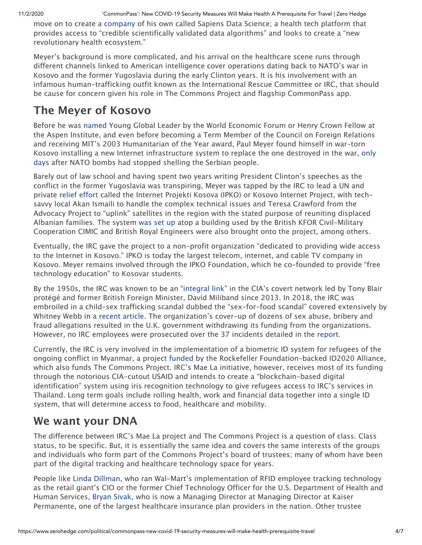move on to create a [company](https://www.sapiensds.com/) of his own called Sapiens Data Science; a health tech platform that provides access to "credible scientifically validated data algorithms" and looks to create a "new revolutionary health ecosystem."

Meyer's background is more complicated, and his arrival on the healthcare scene runs through different channels linked to American intelligence cover operations dating back to NATO's war in Kosovo and the former Yugoslavia during the early Clinton years. It is his involvement with an infamous human-trafficking outfit known as the International Rescue Committee or IRC, that should be cause for concern given his role in The Commons Project and flagship CommonPass app.

#### **The Meyer of Kosovo**

Before he wa[s](https://www.xprize.org/about/people/paul-meyer) [named](https://www.xprize.org/about/people/paul-meyer) Young Global Leader by the World Economic Forum or Henry Crown Fellow at the Aspen Institute, and even before becoming a Term Member of the Council on Foreign Relations and receiving MIT's 2003 Humanitarian of the Year award, Paul Meyer found himself in war-torn Kosovo installing a new Internet [infrastructure](https://rushkoff.com/the-peoples-net/) system to replace the one destroyed in the war[,](https://rushkoff.com/the-peoples-net/) only days after NATO bombs had stopped shelling the Serbian people.

Barely out of law school and having spent two years writing President Clinton's speeches as the conflict in the former Yugoslavia was transpiring, Meyer was tapped by the IRC to lead a UN and privat[e](https://reliefweb.int/report/serbia/irc-project-gives-kosovo-direct-internet-access) relief [effort](https://reliefweb.int/report/serbia/irc-project-gives-kosovo-direct-internet-access) called the Internet Projekti Kosova (IPKO) or Kosovo Internet Project, with techsavvy local Akan Ismaili to handle the complex technical issues and Teresa Crawford from the Advocacy Project to "uplink" satellites in the region with the stated purpose of reuniting displaced Albanian families. The syste[m](https://books.google.com.mx/books?id=idFHDwAAQBAJ&pg=PA660&lpg=PA660&dq=Paul+Meyer+IRC+kosovo&source=bl&ots=0k-qw-JyVX&sig=ACfU3U3kFNxS4R9fPYRHaaTz3Xetu_Xvdw&hl=en&sa=X&redir_esc=y#v=onepage&q=Paul%20Meyer%20IRC%20kosovo&f=false) [was](https://books.google.com.mx/books?id=idFHDwAAQBAJ&pg=PA660&lpg=PA660&dq=Paul+Meyer+IRC+kosovo&source=bl&ots=0k-qw-JyVX&sig=ACfU3U3kFNxS4R9fPYRHaaTz3Xetu_Xvdw&hl=en&sa=X&redir_esc=y#v=onepage&q=Paul%20Meyer%20IRC%20kosovo&f=false) set up atop a building used by the British KFOR Civil-Military Cooperation CIMIC and British Royal Engineers were also brought onto the project, among others.

Eventually, the IRC gave the project to a non-profit organization "dedicated to providing wide access to the Internet in Kosovo." IPKO is today the largest telecom, internet, and cable TV company in Kosovo. Meyer remains involved through the IPKO Foundation, which he co-founded to provide "free technology education" to Kosovar students.

By the 1950s, the IRC was known to be an ["integral](https://en.wikipedia.org/wiki/International_Rescue_Committee) link" in the CIA's covert network led by Tony Blair protégé and former British Foreign Minister, David Miliband since 2013. In 2018, the IRC was embroiled in a child-sex trafficking scandal dubbed the "sex-for-food scandal" covered extensively by Whitney Webb in a [recent](https://unlimitedhangout.com/2020/07/reports/charity-accused-of-sex-abuse-coordinating-id2020s-pilot-program-for-refugee-newborns/) article. The organization's cover-up of dozens of sex abuse, bribery and fraud allegations resulted in the U.K. government withdrawing its funding from the organizations. However, no IRC employees were prosecuted over the 37 incidents detailed in th[e](https://www.dailymail.co.uk/news/article-5389733/Charity-led-David-Miliband-hushed-sex-abuse-claims.html) [report.](https://www.dailymail.co.uk/news/article-5389733/Charity-led-David-Miliband-hushed-sex-abuse-claims.html)

Currently, the IRC is very involved in the implementation of a biometric ID system for refugees of the ongoing conflict in Myanmar, a projec[t](https://www.prnewswire.com/news-releases/id2020-alliance-launches-inaugural-pilots-welcomes-new-partners-at-annual-summit-300713089.html?tc=eml_cleartime) [funded](https://www.prnewswire.com/news-releases/id2020-alliance-launches-inaugural-pilots-welcomes-new-partners-at-annual-summit-300713089.html?tc=eml_cleartime) by the Rockefeller Foundation-backed ID2020 Alliance, which also funds The Commons Project. IRC's Mae La initiative, however, receives most of its funding through the notorious CIA-cutout USAID and intends to create a "blockchain-based digital identification" system using iris recognition technology to give refugees access to IRC's services in Thailand. Long term goals include rolling health, work and financial data together into a single ID system, that will determine access to food, healthcare and mobility.

#### **We want your DNA**

The difference between IRC's Mae La project and The Commons Project is a question of class. Class status, to be specific. But, it is essentially the same idea and covers the same interests of the groups and individuals who form part of the Commons Project's board of trustees; many of whom have been part of the digital tracking and healthcare technology space for years.

People like [L](https://www.workforce.com/news/qa-wal-marts-linda-dillman-talks-about-changing-the-health-care-system)inda [Dillman,](https://www.workforce.com/news/qa-wal-marts-linda-dillman-talks-about-changing-the-health-care-system) who ran Wal-Mart's implementation of RFID employee tracking technology as the retail giant's CIO or the former Chief Technology Officer for the U.S. Department of Health and Human Services, [Bryan](https://thecommonsproject.org/trustees-1) Sivak, who is now a Managing Director at Managing Director at Kaiser Permanente, one of the largest healthcare insurance plan providers in the nation. Other trustee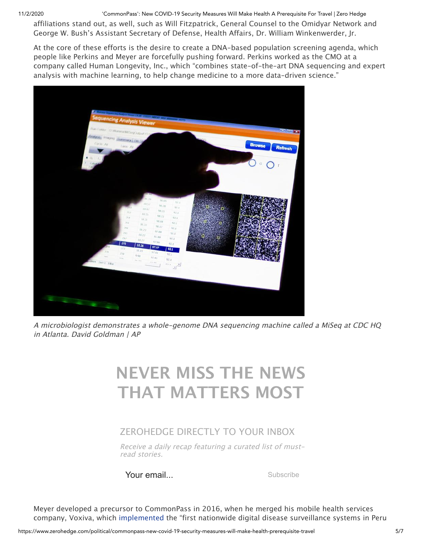11/2/2020 'CommonPass': New COVID-19 Security Measures Will Make Health A Prerequisite For Travel | Zero Hedge

affiliations stand out, as well, such as Will Fitzpatrick, General Counsel to the Omidyar Network and George W. Bush's Assistant Secretary of Defense, Health Affairs, Dr. William Winkenwerder, Jr.

At the core of these efforts is the desire to create a DNA-based population screening agenda, which people like Perkins and Meyer are forcefully pushing forward. Perkins worked as the CMO at a company called Human Longevity, Inc., which "combines state-of-the-art DNA sequencing and expert analysis with machine learning, to help change medicine to a more data-driven science."



A microbiologist demonstrates <sup>a</sup> whole-genome DNA sequencing machine called <sup>a</sup> MiSeq at CDC HQ in Atlanta. David Goldman | AP

# **NEVER MISS THE NEWS THAT MATTERS MOST**

#### ZEROHEDGE DIRECTLY TO YOUR INBOX

Receive <sup>a</sup> daily recap featuring <sup>a</sup> curated list of mustread stories.

Your email...

Meyer developed a precursor to CommonPass in 2016, when he merged his mobile health services company, Voxiva, whic[h](https://www.prnewswire.com/news-releases/voxiva-and-sense-health-merge-to-launch-wellpass-industry-leading-digital-health-platform-300433480.html) [implemented](https://www.prnewswire.com/news-releases/voxiva-and-sense-health-merge-to-launch-wellpass-industry-leading-digital-health-platform-300433480.html) the "first nationwide digital disease surveillance systems in Peru